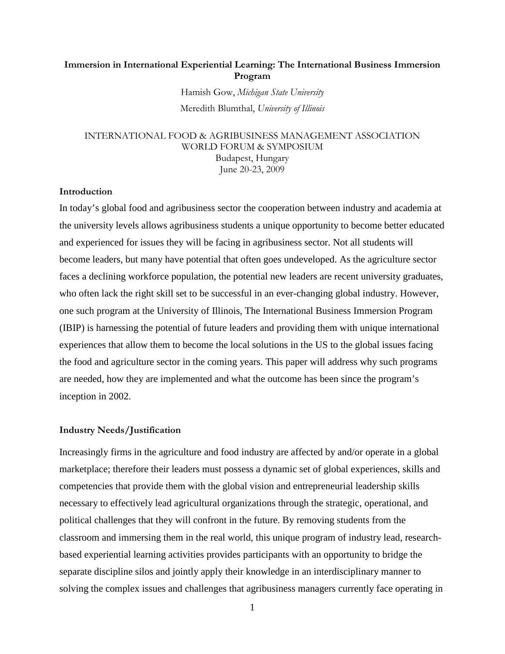# Immersion in International Experiential Learning: The International Business Immersion Program

Hamish Gow, Michigan State University Meredith Blumthal, University of Illinois

## INTERNATIONAL FOOD & AGRIBUSINESS MANAGEMENT ASSOCIATION WORLD FORUM & SYMPOSIUM Budapest, Hungary June 20-23, 2009

### Introduction

In today's global food and agribusiness sector the cooperation between industry and academia at the university levels allows agribusiness students a unique opportunity to become better educated and experienced for issues they will be facing in agribusiness sector. Not all students will become leaders, but many have potential that often goes undeveloped. As the agriculture sector faces a declining workforce population, the potential new leaders are recent university graduates, who often lack the right skill set to be successful in an ever-changing global industry. However, one such program at the University of Illinois, The International Business Immersion Program (IBIP) is harnessing the potential of future leaders and providing them with unique international experiences that allow them to become the local solutions in the US to the global issues facing the food and agriculture sector in the coming years. This paper will address why such programs are needed, how they are implemented and what the outcome has been since the program's inception in 2002.

### Industry Needs/Justification

Increasingly firms in the agriculture and food industry are affected by and/or operate in a global marketplace; therefore their leaders must possess a dynamic set of global experiences, skills and competencies that provide them with the global vision and entrepreneurial leadership skills necessary to effectively lead agricultural organizations through the strategic, operational, and political challenges that they will confront in the future. By removing students from the classroom and immersing them in the real world, this unique program of industry lead, researchbased experiential learning activities provides participants with an opportunity to bridge the separate discipline silos and jointly apply their knowledge in an interdisciplinary manner to solving the complex issues and challenges that agribusiness managers currently face operating in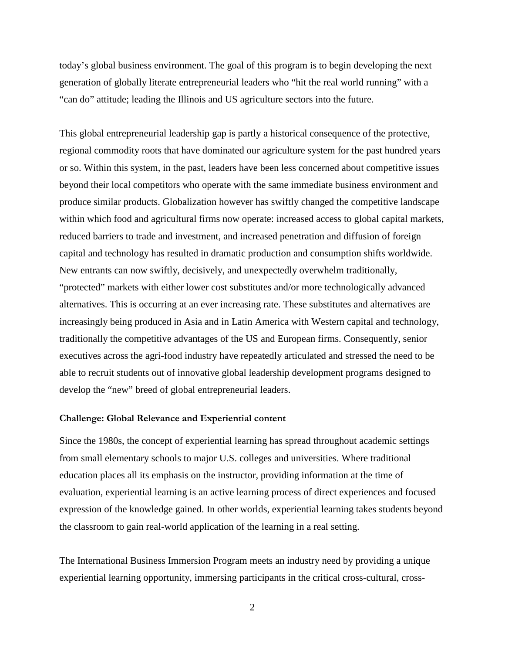today's global business environment. The goal of this program is to begin developing the next generation of globally literate entrepreneurial leaders who "hit the real world running" with a "can do" attitude; leading the Illinois and US agriculture sectors into the future.

This global entrepreneurial leadership gap is partly a historical consequence of the protective, regional commodity roots that have dominated our agriculture system for the past hundred years or so. Within this system, in the past, leaders have been less concerned about competitive issues beyond their local competitors who operate with the same immediate business environment and produce similar products. Globalization however has swiftly changed the competitive landscape within which food and agricultural firms now operate: increased access to global capital markets, reduced barriers to trade and investment, and increased penetration and diffusion of foreign capital and technology has resulted in dramatic production and consumption shifts worldwide. New entrants can now swiftly, decisively, and unexpectedly overwhelm traditionally, "protected" markets with either lower cost substitutes and/or more technologically advanced alternatives. This is occurring at an ever increasing rate. These substitutes and alternatives are increasingly being produced in Asia and in Latin America with Western capital and technology, traditionally the competitive advantages of the US and European firms. Consequently, senior executives across the agri-food industry have repeatedly articulated and stressed the need to be able to recruit students out of innovative global leadership development programs designed to develop the "new" breed of global entrepreneurial leaders.

### Challenge: Global Relevance and Experiential content

Since the 1980s, the concept of experiential learning has spread throughout academic settings from small elementary schools to major U.S. colleges and universities. Where traditional education places all its emphasis on the instructor, providing information at the time of evaluation, experiential learning is an active learning process of direct experiences and focused expression of the knowledge gained. In other worlds, experiential learning takes students beyond the classroom to gain real-world application of the learning in a real setting.

The International Business Immersion Program meets an industry need by providing a unique experiential learning opportunity, immersing participants in the critical cross-cultural, cross-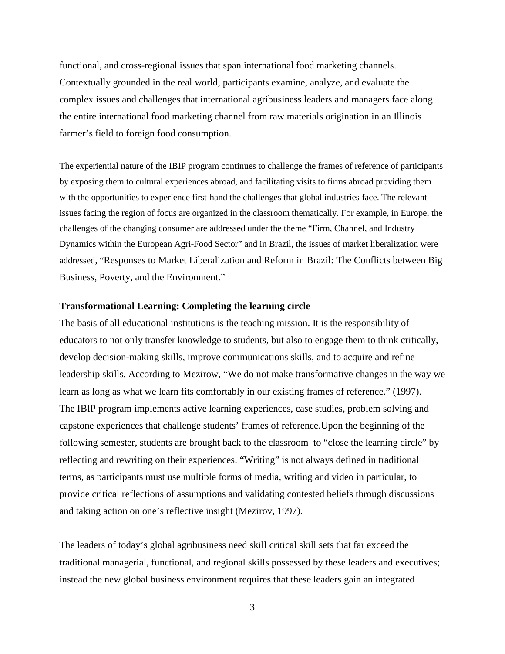functional, and cross-regional issues that span international food marketing channels. Contextually grounded in the real world, participants examine, analyze, and evaluate the complex issues and challenges that international agribusiness leaders and managers face along the entire international food marketing channel from raw materials origination in an Illinois farmer's field to foreign food consumption.

The experiential nature of the IBIP program continues to challenge the frames of reference of participants by exposing them to cultural experiences abroad, and facilitating visits to firms abroad providing them with the opportunities to experience first-hand the challenges that global industries face. The relevant issues facing the region of focus are organized in the classroom thematically. For example, in Europe, the challenges of the changing consumer are addressed under the theme "Firm, Channel, and Industry Dynamics within the European Agri-Food Sector" and in Brazil, the issues of market liberalization were addressed, "Responses to Market Liberalization and Reform in Brazil: The Conflicts between Big Business, Poverty, and the Environment."

### **Transformational Learning: Completing the learning circle**

The basis of all educational institutions is the teaching mission. It is the responsibility of educators to not only transfer knowledge to students, but also to engage them to think critically, develop decision-making skills, improve communications skills, and to acquire and refine leadership skills. According to Mezirow, "We do not make transformative changes in the way we learn as long as what we learn fits comfortably in our existing frames of reference." (1997). The IBIP program implements active learning experiences, case studies, problem solving and capstone experiences that challenge students' frames of reference.Upon the beginning of the following semester, students are brought back to the classroom to "close the learning circle" by reflecting and rewriting on their experiences. "Writing" is not always defined in traditional terms, as participants must use multiple forms of media, writing and video in particular, to provide critical reflections of assumptions and validating contested beliefs through discussions and taking action on one's reflective insight (Mezirov, 1997).

The leaders of today's global agribusiness need skill critical skill sets that far exceed the traditional managerial, functional, and regional skills possessed by these leaders and executives; instead the new global business environment requires that these leaders gain an integrated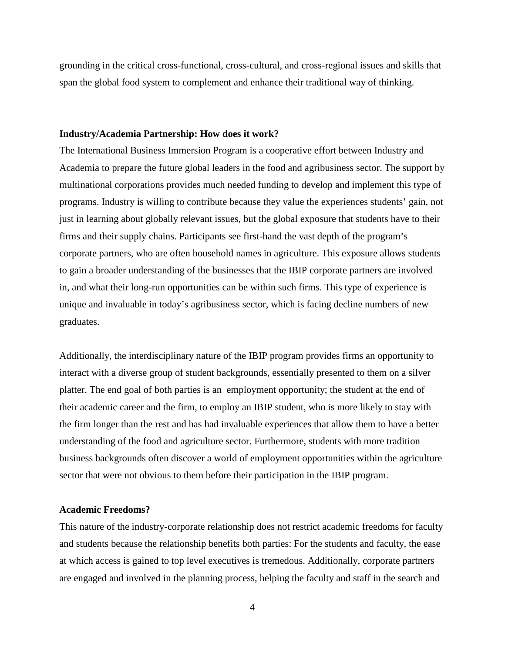grounding in the critical cross-functional, cross-cultural, and cross-regional issues and skills that span the global food system to complement and enhance their traditional way of thinking.

### **Industry/Academia Partnership: How does it work?**

The International Business Immersion Program is a cooperative effort between Industry and Academia to prepare the future global leaders in the food and agribusiness sector. The support by multinational corporations provides much needed funding to develop and implement this type of programs. Industry is willing to contribute because they value the experiences students' gain, not just in learning about globally relevant issues, but the global exposure that students have to their firms and their supply chains. Participants see first-hand the vast depth of the program's corporate partners, who are often household names in agriculture. This exposure allows students to gain a broader understanding of the businesses that the IBIP corporate partners are involved in, and what their long-run opportunities can be within such firms. This type of experience is unique and invaluable in today's agribusiness sector, which is facing decline numbers of new graduates.

Additionally, the interdisciplinary nature of the IBIP program provides firms an opportunity to interact with a diverse group of student backgrounds, essentially presented to them on a silver platter. The end goal of both parties is an employment opportunity; the student at the end of their academic career and the firm, to employ an IBIP student, who is more likely to stay with the firm longer than the rest and has had invaluable experiences that allow them to have a better understanding of the food and agriculture sector. Furthermore, students with more tradition business backgrounds often discover a world of employment opportunities within the agriculture sector that were not obvious to them before their participation in the IBIP program.

# **Academic Freedoms?**

This nature of the industry-corporate relationship does not restrict academic freedoms for faculty and students because the relationship benefits both parties: For the students and faculty, the ease at which access is gained to top level executives is tremedous. Additionally, corporate partners are engaged and involved in the planning process, helping the faculty and staff in the search and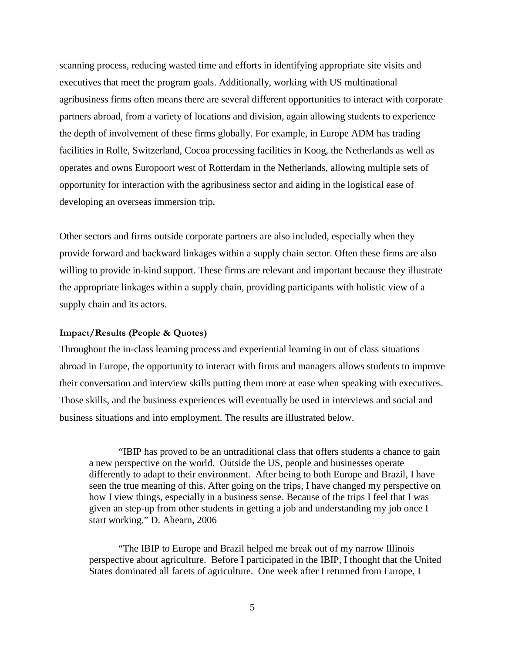scanning process, reducing wasted time and efforts in identifying appropriate site visits and executives that meet the program goals. Additionally, working with US multinational agribusiness firms often means there are several different opportunities to interact with corporate partners abroad, from a variety of locations and division, again allowing students to experience the depth of involvement of these firms globally. For example, in Europe ADM has trading facilities in Rolle, Switzerland, Cocoa processing facilities in Koog, the Netherlands as well as operates and owns Europoort west of Rotterdam in the Netherlands, allowing multiple sets of opportunity for interaction with the agribusiness sector and aiding in the logistical ease of developing an overseas immersion trip.

Other sectors and firms outside corporate partners are also included, especially when they provide forward and backward linkages within a supply chain sector. Often these firms are also willing to provide in-kind support. These firms are relevant and important because they illustrate the appropriate linkages within a supply chain, providing participants with holistic view of a supply chain and its actors.

## Impact/Results (People & Quotes)

Throughout the in-class learning process and experiential learning in out of class situations abroad in Europe, the opportunity to interact with firms and managers allows students to improve their conversation and interview skills putting them more at ease when speaking with executives. Those skills, and the business experiences will eventually be used in interviews and social and business situations and into employment. The results are illustrated below.

"IBIP has proved to be an untraditional class that offers students a chance to gain a new perspective on the world. Outside the US, people and businesses operate differently to adapt to their environment. After being to both Europe and Brazil, I have seen the true meaning of this. After going on the trips, I have changed my perspective on how I view things, especially in a business sense. Because of the trips I feel that I was given an step-up from other students in getting a job and understanding my job once I start working." D. Ahearn, 2006

"The IBIP to Europe and Brazil helped me break out of my narrow Illinois perspective about agriculture. Before I participated in the IBIP, I thought that the United States dominated all facets of agriculture. One week after I returned from Europe, I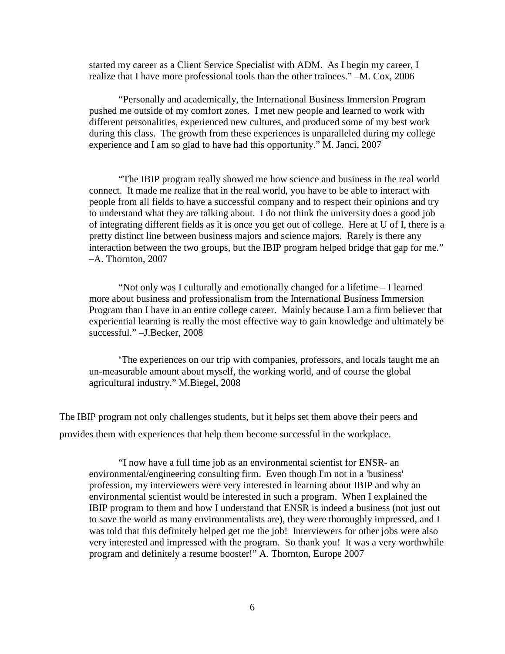started my career as a Client Service Specialist with ADM. As I begin my career, I realize that I have more professional tools than the other trainees." –M. Cox, 2006

"Personally and academically, the International Business Immersion Program pushed me outside of my comfort zones. I met new people and learned to work with different personalities, experienced new cultures, and produced some of my best work during this class. The growth from these experiences is unparalleled during my college experience and I am so glad to have had this opportunity." M. Janci, 2007

"The IBIP program really showed me how science and business in the real world connect. It made me realize that in the real world, you have to be able to interact with people from all fields to have a successful company and to respect their opinions and try to understand what they are talking about. I do not think the university does a good job of integrating different fields as it is once you get out of college. Here at U of I, there is a pretty distinct line between business majors and science majors. Rarely is there any interaction between the two groups, but the IBIP program helped bridge that gap for me." –A. Thornton, 2007

"Not only was I culturally and emotionally changed for a lifetime – I learned more about business and professionalism from the International Business Immersion Program than I have in an entire college career. Mainly because I am a firm believer that experiential learning is really the most effective way to gain knowledge and ultimately be successful." –J.Becker, 2008

"The experiences on our trip with companies, professors, and locals taught me an un-measurable amount about myself, the working world, and of course the global agricultural industry." M.Biegel, 2008

The IBIP program not only challenges students, but it helps set them above their peers and provides them with experiences that help them become successful in the workplace.

"I now have a full time job as an environmental scientist for ENSR- an environmental/engineering consulting firm. Even though I'm not in a 'business' profession, my interviewers were very interested in learning about IBIP and why an environmental scientist would be interested in such a program. When I explained the IBIP program to them and how I understand that ENSR is indeed a business (not just out to save the world as many environmentalists are), they were thoroughly impressed, and I was told that this definitely helped get me the job! Interviewers for other jobs were also very interested and impressed with the program. So thank you! It was a very worthwhile program and definitely a resume booster!" A. Thornton, Europe 2007